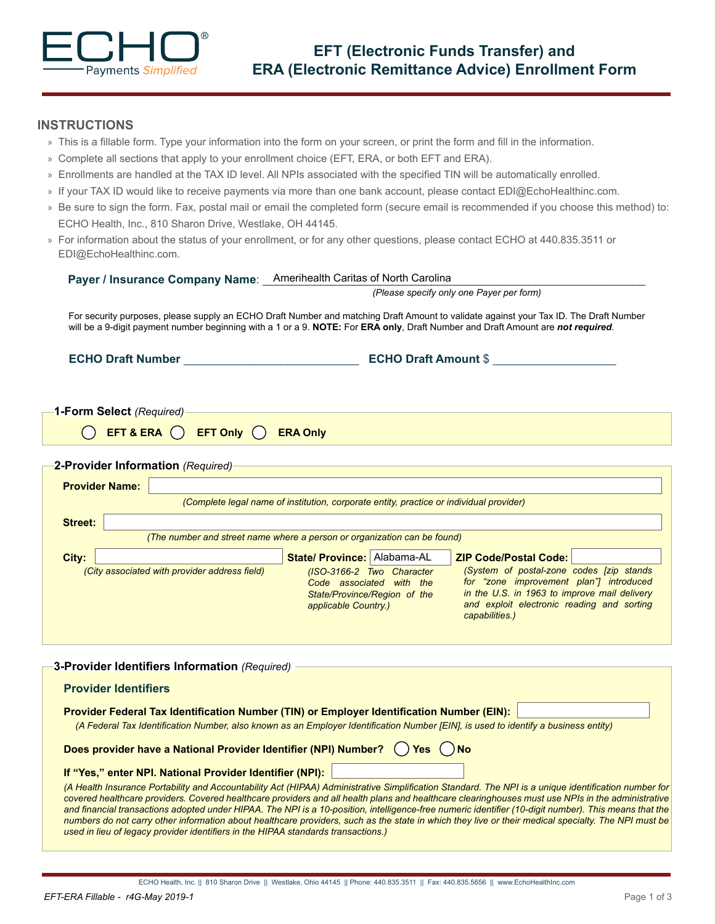

## **INSTRUCTIONS**

- » This is a fillable form. Type your information into the form on your screen, or print the form and fill in the information.
- » Complete all sections that apply to your enrollment choice (EFT, ERA, or both EFT and ERA).
- » Enrollments are handled at the TAX ID level. All NPIs associated with the specified TIN will be automatically enrolled.
- » If your TAX ID would like to receive payments via more than one bank account, please contact EDI@EchoHealthinc.com.
- » Be sure to sign the form. Fax, postal mail or email the completed form (secure email is recommended if you choose this method) to: ECHO Health, Inc., 810 Sharon Drive, Westlake, OH 44145.
- » For information about the status of your enrollment, or for any other questions, please contact ECHO at 440.835.3511 or EDI@EchoHealthinc.com.

|                                   |                                                                         | Payer / Insurance Company Name: Amerihealth Caritas of North Carolina                                         |                                                                                                                                                                                                                                                                          |
|-----------------------------------|-------------------------------------------------------------------------|---------------------------------------------------------------------------------------------------------------|--------------------------------------------------------------------------------------------------------------------------------------------------------------------------------------------------------------------------------------------------------------------------|
|                                   |                                                                         |                                                                                                               | (Please specify only one Payer per form)                                                                                                                                                                                                                                 |
|                                   |                                                                         |                                                                                                               | For security purposes, please supply an ECHO Draft Number and matching Draft Amount to validate against your Tax ID. The Draft Number<br>will be a 9-digit payment number beginning with a 1 or a 9. NOTE: For ERA only, Draft Number and Draft Amount are not required. |
| <b>ECHO Draft Number</b>          |                                                                         |                                                                                                               | <b>ECHO Draft Amount \$</b>                                                                                                                                                                                                                                              |
| 1-Form Select (Required)          |                                                                         |                                                                                                               |                                                                                                                                                                                                                                                                          |
|                                   | <b>EFT &amp; ERA <math>\bigcap</math> EFT Only <math>\bigcap</math></b> | <b>ERA Only</b>                                                                                               |                                                                                                                                                                                                                                                                          |
| 2-Provider Information (Required) |                                                                         |                                                                                                               |                                                                                                                                                                                                                                                                          |
| <b>Provider Name:</b>             |                                                                         |                                                                                                               |                                                                                                                                                                                                                                                                          |
|                                   |                                                                         | (Complete legal name of institution, corporate entity, practice or individual provider)                       |                                                                                                                                                                                                                                                                          |
| <b>Street:</b>                    |                                                                         |                                                                                                               |                                                                                                                                                                                                                                                                          |
|                                   |                                                                         | (The number and street name where a person or organization can be found)                                      |                                                                                                                                                                                                                                                                          |
| City:                             |                                                                         | State/ Province: Alabama-AL                                                                                   | <b>ZIP Code/Postal Code:</b>                                                                                                                                                                                                                                             |
|                                   | (City associated with provider address field)                           | (ISO-3166-2 Two Character<br>Code associated with the<br>State/Province/Region of the<br>applicable Country.) | (System of postal-zone codes [zip stands<br>for "zone improvement plan"] introduced<br>in the U.S. in 1963 to improve mail delivery<br>and exploit electronic reading and sorting                                                                                        |

| 3-Provider Identifiers Information (Required)                                                                                                                                                                                                                                                                                                                                                                                                                      |  |  |  |
|--------------------------------------------------------------------------------------------------------------------------------------------------------------------------------------------------------------------------------------------------------------------------------------------------------------------------------------------------------------------------------------------------------------------------------------------------------------------|--|--|--|
| <b>Provider Identifiers</b>                                                                                                                                                                                                                                                                                                                                                                                                                                        |  |  |  |
| Provider Federal Tax Identification Number (TIN) or Employer Identification Number (EIN):<br>(A Federal Tax Identification Number, also known as an Employer Identification Number [EIN], is used to identify a business entity)                                                                                                                                                                                                                                   |  |  |  |
| Does provider have a National Provider Identifier (NPI) Number? ( ) Yes ( ) No                                                                                                                                                                                                                                                                                                                                                                                     |  |  |  |
| If "Yes," enter NPI. National Provider Identifier (NPI):                                                                                                                                                                                                                                                                                                                                                                                                           |  |  |  |
| (A Health Insurance Portability and Accountability Act (HIPAA) Administrative Simplification Standard. The NPI is a unique identification number for<br>covered healthcare providers. Covered healthcare providers and all health plans and healthcare clearinghouses must use NPIs in the administrative<br>and financial transactions adopted under HIPAA. The NPL is a 10-position, intelligence-free numeric identifier (10-digit number). This means that the |  |  |  |

*and financial transactions adopted under HIPAA. The NPI is a 10-position, intelligence-free numeric identifier (10-digit number). This means that the numbers do not carry other information about healthcare providers, such as the state in which they live or their medical specialty. The NPI must be used in lieu of legacy provider identifiers in the HIPAA standards transactions.)*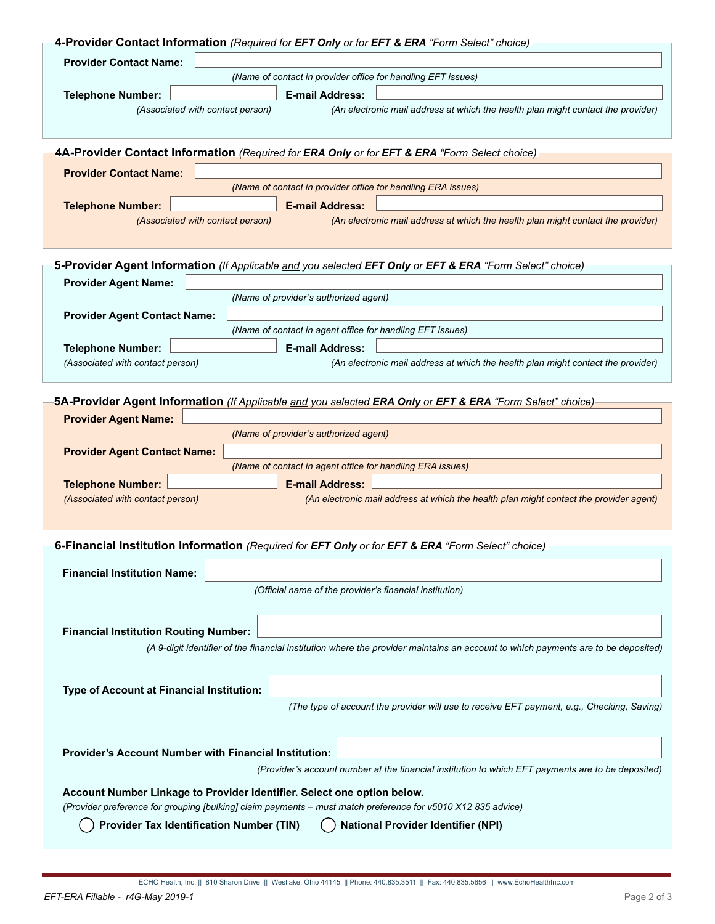|                                                                                                              | 4-Provider Contact Information (Required for EFT Only or for EFT & ERA "Form Select" choice)                                      |  |  |  |  |
|--------------------------------------------------------------------------------------------------------------|-----------------------------------------------------------------------------------------------------------------------------------|--|--|--|--|
| <b>Provider Contact Name:</b>                                                                                |                                                                                                                                   |  |  |  |  |
|                                                                                                              | (Name of contact in provider office for handling EFT issues)                                                                      |  |  |  |  |
|                                                                                                              |                                                                                                                                   |  |  |  |  |
| <b>Telephone Number:</b>                                                                                     | <b>E-mail Address:</b>                                                                                                            |  |  |  |  |
|                                                                                                              | (An electronic mail address at which the health plan might contact the provider)<br>(Associated with contact person)              |  |  |  |  |
|                                                                                                              |                                                                                                                                   |  |  |  |  |
|                                                                                                              |                                                                                                                                   |  |  |  |  |
|                                                                                                              | 4A-Provider Contact Information (Required for ERA Only or for EFT & ERA "Form Select choice)                                      |  |  |  |  |
| <b>Provider Contact Name:</b>                                                                                |                                                                                                                                   |  |  |  |  |
|                                                                                                              | (Name of contact in provider office for handling ERA issues)                                                                      |  |  |  |  |
| <b>Telephone Number:</b>                                                                                     | <b>E-mail Address:</b>                                                                                                            |  |  |  |  |
|                                                                                                              | (An electronic mail address at which the health plan might contact the provider)<br>(Associated with contact person)              |  |  |  |  |
|                                                                                                              |                                                                                                                                   |  |  |  |  |
|                                                                                                              |                                                                                                                                   |  |  |  |  |
|                                                                                                              | 5-Provider Agent Information (If Applicable and you selected EFT Only or EFT & ERA "Form Select" choice)                          |  |  |  |  |
| <b>Provider Agent Name:</b>                                                                                  |                                                                                                                                   |  |  |  |  |
|                                                                                                              | (Name of provider's authorized agent)                                                                                             |  |  |  |  |
| <b>Provider Agent Contact Name:</b>                                                                          |                                                                                                                                   |  |  |  |  |
|                                                                                                              | (Name of contact in agent office for handling EFT issues)                                                                         |  |  |  |  |
|                                                                                                              |                                                                                                                                   |  |  |  |  |
| <b>Telephone Number:</b>                                                                                     | <b>E-mail Address:</b>                                                                                                            |  |  |  |  |
| (Associated with contact person)                                                                             | (An electronic mail address at which the health plan might contact the provider)                                                  |  |  |  |  |
|                                                                                                              |                                                                                                                                   |  |  |  |  |
|                                                                                                              | 5A-Provider Agent Information (If Applicable and you selected ERA Only or EFT & ERA "Form Select" choice)                         |  |  |  |  |
| <b>Provider Agent Name:</b>                                                                                  |                                                                                                                                   |  |  |  |  |
|                                                                                                              | (Name of provider's authorized agent)                                                                                             |  |  |  |  |
| <b>Provider Agent Contact Name:</b>                                                                          |                                                                                                                                   |  |  |  |  |
|                                                                                                              | (Name of contact in agent office for handling ERA issues)                                                                         |  |  |  |  |
| <b>Telephone Number:</b>                                                                                     | <b>E-mail Address:</b>                                                                                                            |  |  |  |  |
| (Associated with contact person)                                                                             | (An electronic mail address at which the health plan might contact the provider agent)                                            |  |  |  |  |
|                                                                                                              |                                                                                                                                   |  |  |  |  |
|                                                                                                              |                                                                                                                                   |  |  |  |  |
|                                                                                                              | 6-Financial Institution Information (Required for EFT Only or for EFT & ERA "Form Select" choice)                                 |  |  |  |  |
|                                                                                                              |                                                                                                                                   |  |  |  |  |
| <b>Financial Institution Name:</b>                                                                           |                                                                                                                                   |  |  |  |  |
|                                                                                                              | (Official name of the provider's financial institution)                                                                           |  |  |  |  |
|                                                                                                              |                                                                                                                                   |  |  |  |  |
|                                                                                                              |                                                                                                                                   |  |  |  |  |
| <b>Financial Institution Routing Number:</b>                                                                 |                                                                                                                                   |  |  |  |  |
|                                                                                                              | (A 9-digit identifier of the financial institution where the provider maintains an account to which payments are to be deposited) |  |  |  |  |
|                                                                                                              |                                                                                                                                   |  |  |  |  |
|                                                                                                              |                                                                                                                                   |  |  |  |  |
| Type of Account at Financial Institution:                                                                    |                                                                                                                                   |  |  |  |  |
|                                                                                                              | (The type of account the provider will use to receive EFT payment, e.g., Checking, Saving)                                        |  |  |  |  |
|                                                                                                              |                                                                                                                                   |  |  |  |  |
|                                                                                                              |                                                                                                                                   |  |  |  |  |
| <b>Provider's Account Number with Financial Institution:</b>                                                 |                                                                                                                                   |  |  |  |  |
|                                                                                                              | (Provider's account number at the financial institution to which EFT payments are to be deposited)                                |  |  |  |  |
|                                                                                                              |                                                                                                                                   |  |  |  |  |
| Account Number Linkage to Provider Identifier. Select one option below.                                      |                                                                                                                                   |  |  |  |  |
| (Provider preference for grouping [bulking] claim payments - must match preference for v5010 X12 835 advice) |                                                                                                                                   |  |  |  |  |
| <b>Provider Tax Identification Number (TIN)</b><br><b>National Provider Identifier (NPI)</b>                 |                                                                                                                                   |  |  |  |  |
|                                                                                                              |                                                                                                                                   |  |  |  |  |